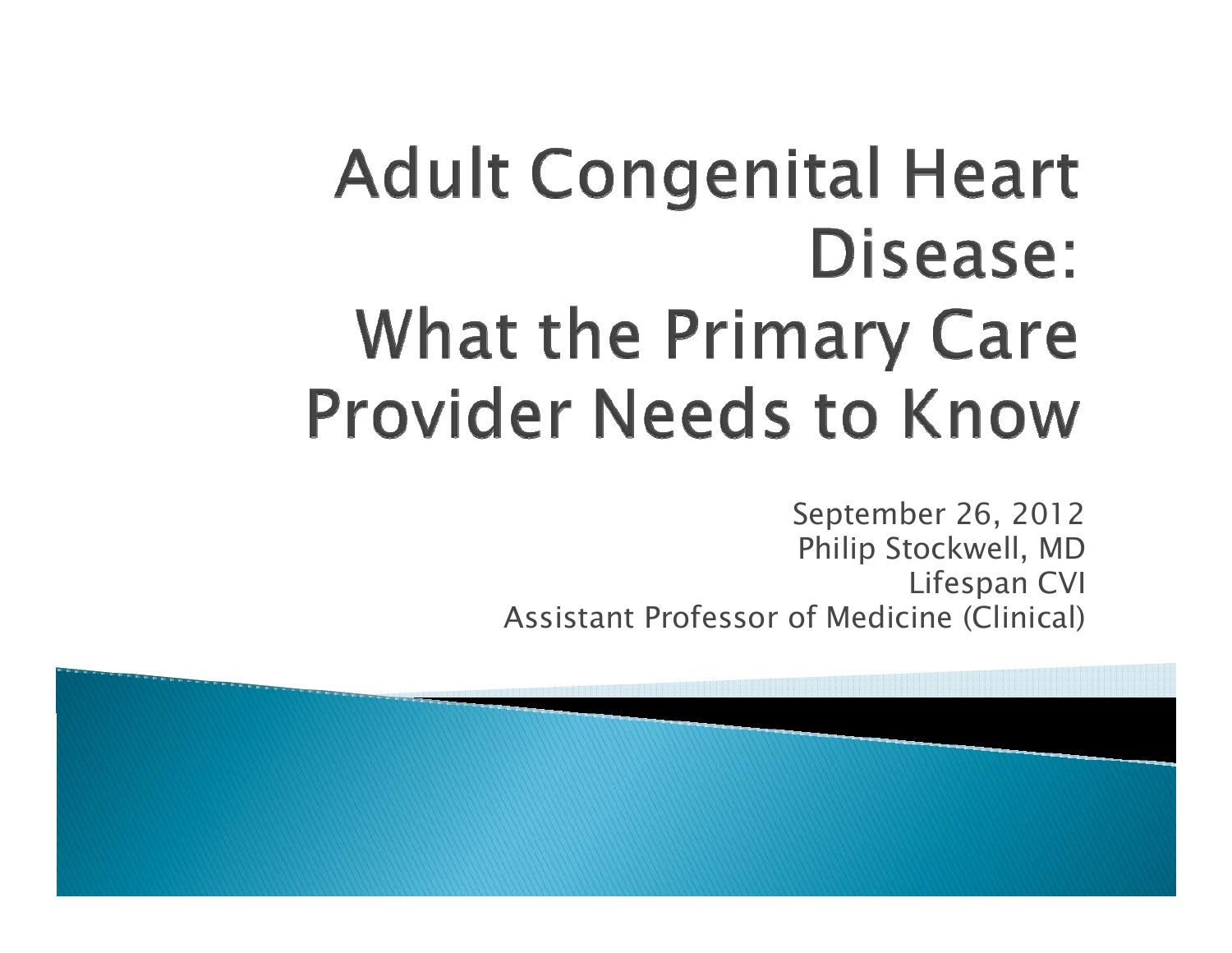# **Adult Congenital Heart** Disease: **What the Primary Care Provider Needs to Know**

September 26, 2012 Philip Stockwell, MD Lifespan CVI Assistant Professor of Medicine (Clinical)

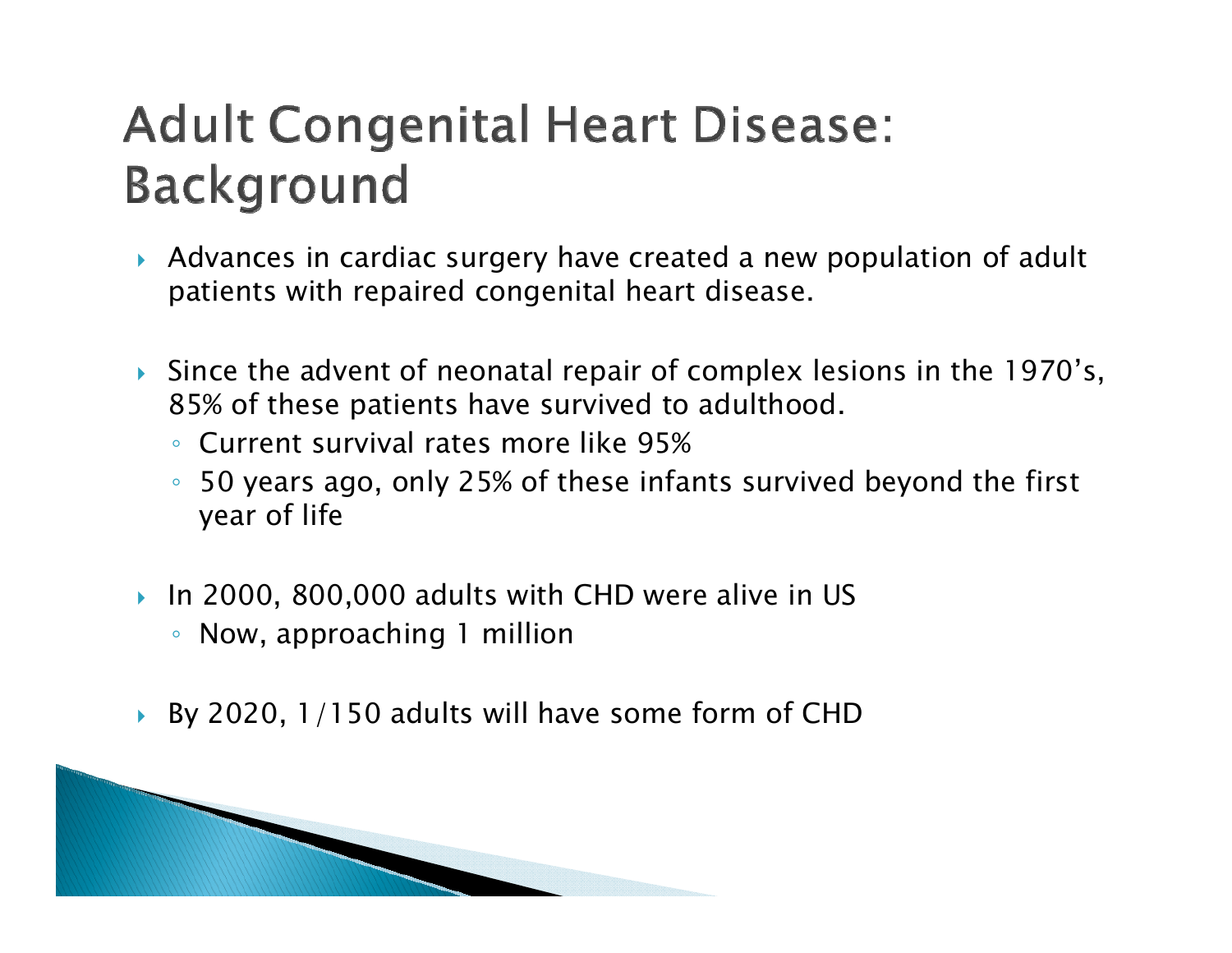# **Adult Congenital Heart Disease: Background**

- Advances in cardiac surgery have created a new population of adult patients with repaired congenital heart disease.
- Since the advent of neonatal repair of complex lesions in the 1970's, 85% of these patients have survived to adulthood.
	- Current survival rates more like 95%
	- $\mathsf{o}$  50 years ago, only 25% of these infants survived beyond the first year of life
- $\blacktriangleright$  In 2000, 800,000 adults with CHD were alive in US
	- Now, approaching 1 million
- By 2020, 1/150 adults will have some form of CHD

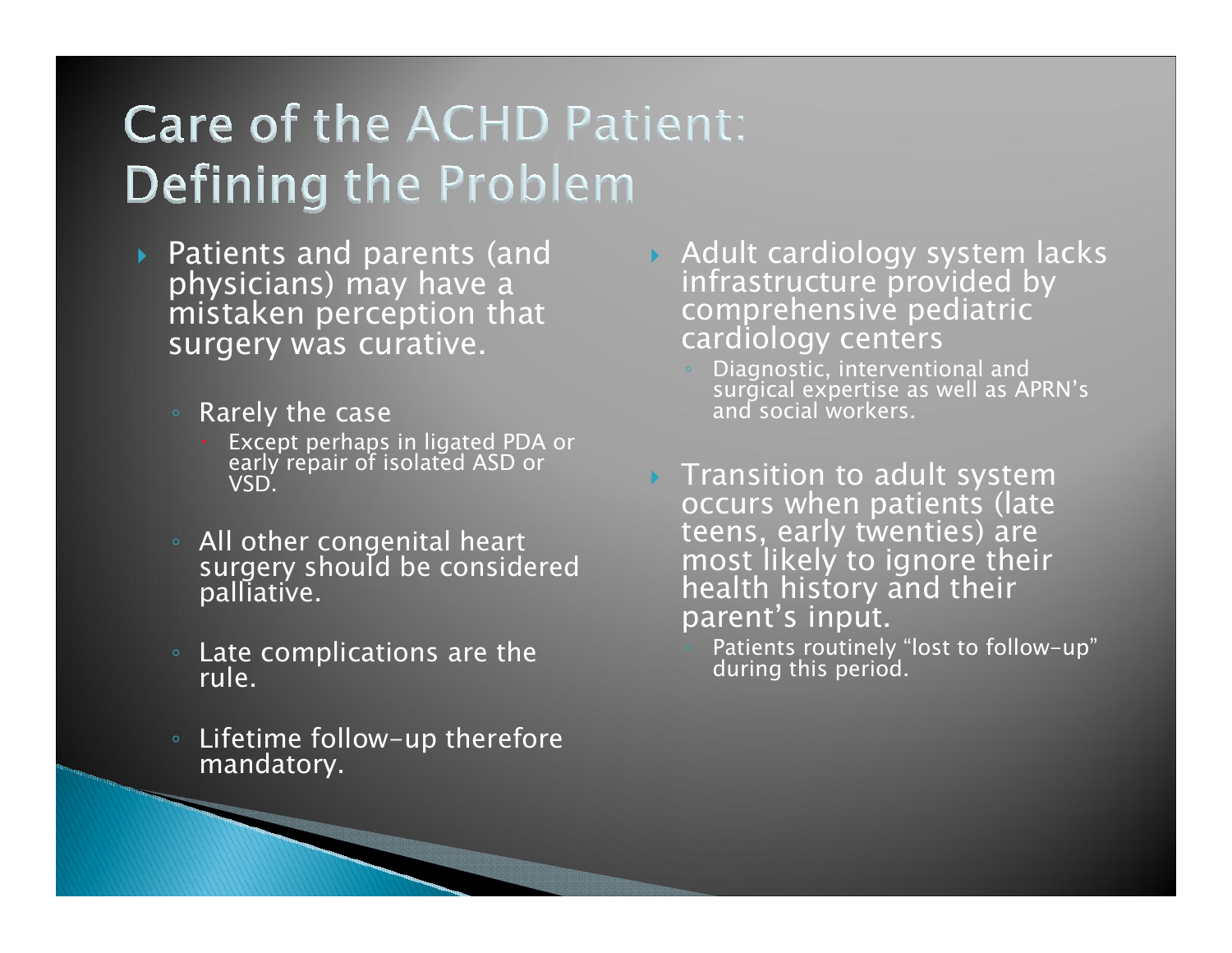# **Care of the ACHD Patient: Defining the Problem**

- Patients and parents (and physicians) may have a mistaken perception that surgery was curative.
	- Rarely the case
		- Except perhaps in ligated PDA or early repair of isolated ASD or VSD.
	- All other congenital heart surgery should be considered palliative.
	- Late complications are the rule.
	- Lifetime follow–up therefore<br>™mandatory.
- Adult cardiology system lacks infrastructure provided by comprehensive pediatric cardiology centers
	- Diagnostic, interventional and surgical expertise as well as APRN's and social workers.
- $\triangleright$  Transition to adult system occurs when patients (late teens, early twenties) are most likely to ignore their health history and their parent's input.
	- Patients routinely "lost to follow-up" during this period.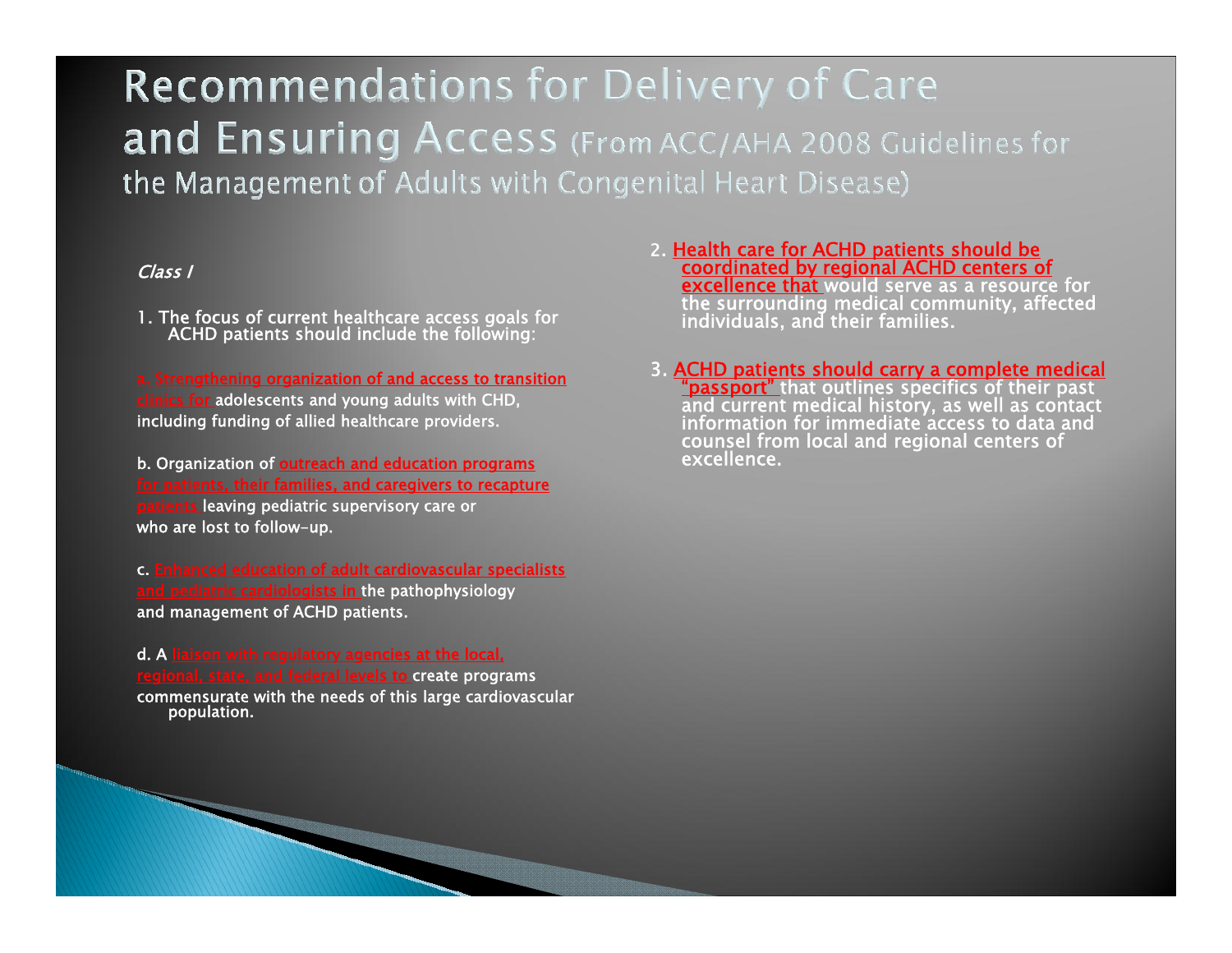### **Recommendations for Delivery of Care** and Ensuring Access (From ACC/AHA 2008 Guidelines for the Management of Adults with Congenital Heart Disease)

#### Class I

1. The focus of current healthcare access goals for<br>ACHD patients should include the following:

a. Strengthening organization of and access to transition clinics for adolescents and young adults with CHD, including funding of allied healthcare providers.

b. Organization of **outreach and education programs** tients, their families, and caregivers to recapture leaving pediatric supervisory care or who are lost to follow-up.

c. Enhanced education of adult cardiovascular specialists and pediatric cardiologists in the pathophysiology and management of ACHD patients.

d. A liaison with regulatory agencies at the local, regional, state, and federal levels to create programs commensurate with the needs of this large cardiovascular population.

- 2. Health care for ACHD patients should be coordinated by regional ACHD centers of the surrounding medical community, affected individuals, and their families.
- 3. ACHD patients should carry a complete medical<br>"passport" that outlines specifics of their past<br>and current medical history, as well as contact<br>information for immediate access to data and<br>counsel from local and regional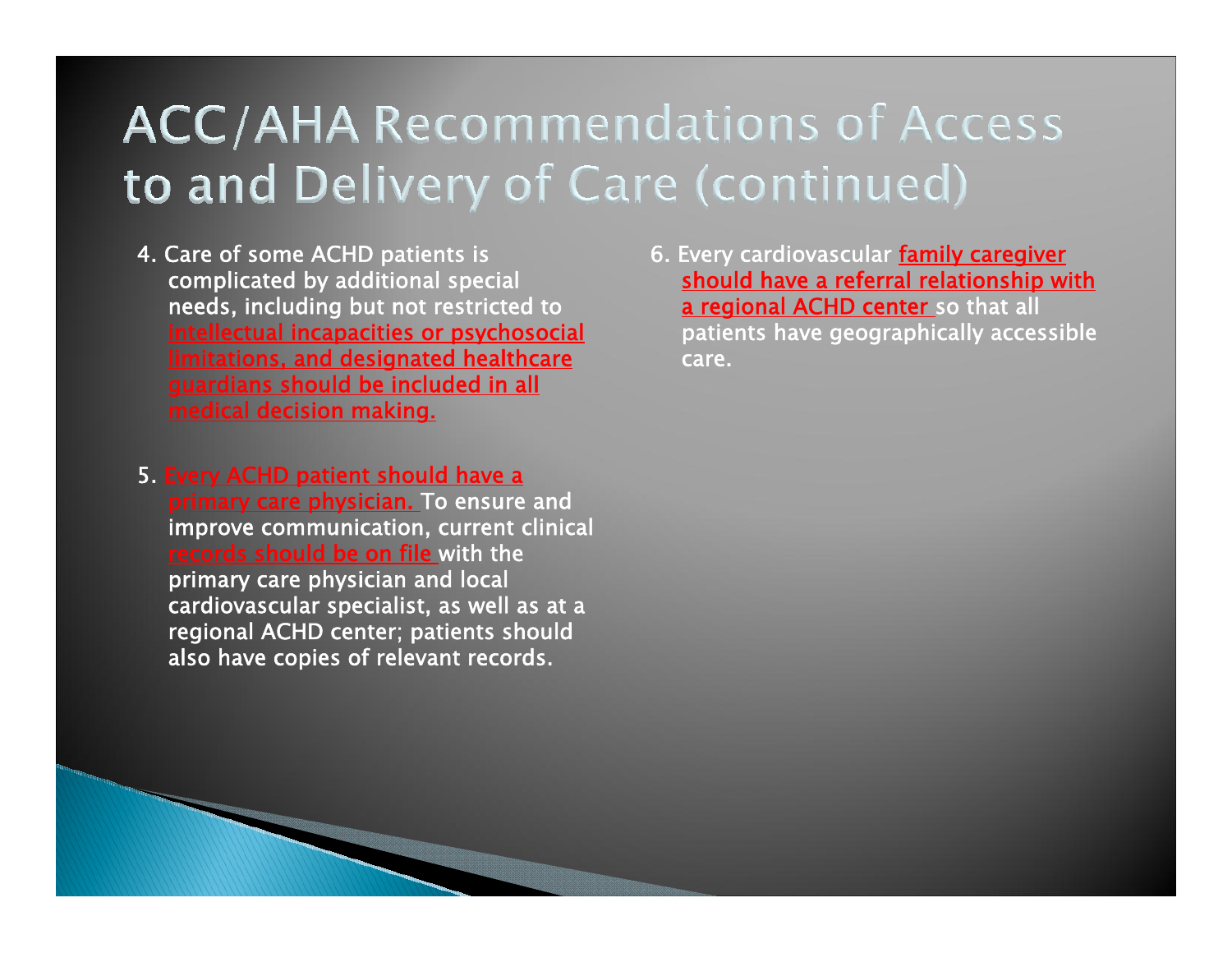## **ACC/AHA Recommendations of Access** to and Delivery of Care (continued)

- 4. Care of some ACHD patients is complicated by additional special needs, including but not restricted to intellectual incapacities or psychosocial limitations, and designated healthcare guardians should be included in all medical decision making.
- 5. Every ACHD patient should have a primary care physician. To ensure and improve communication, current clinical records should be on file with the primary care physician and local cardiovascular specialist, as well as at a regional ACHD center; patients should also have copies of relevant records.

6. Every cardiovascular family caregiver should have a referral relationship with a regional ACHD center so that all patients have geographically accessible care.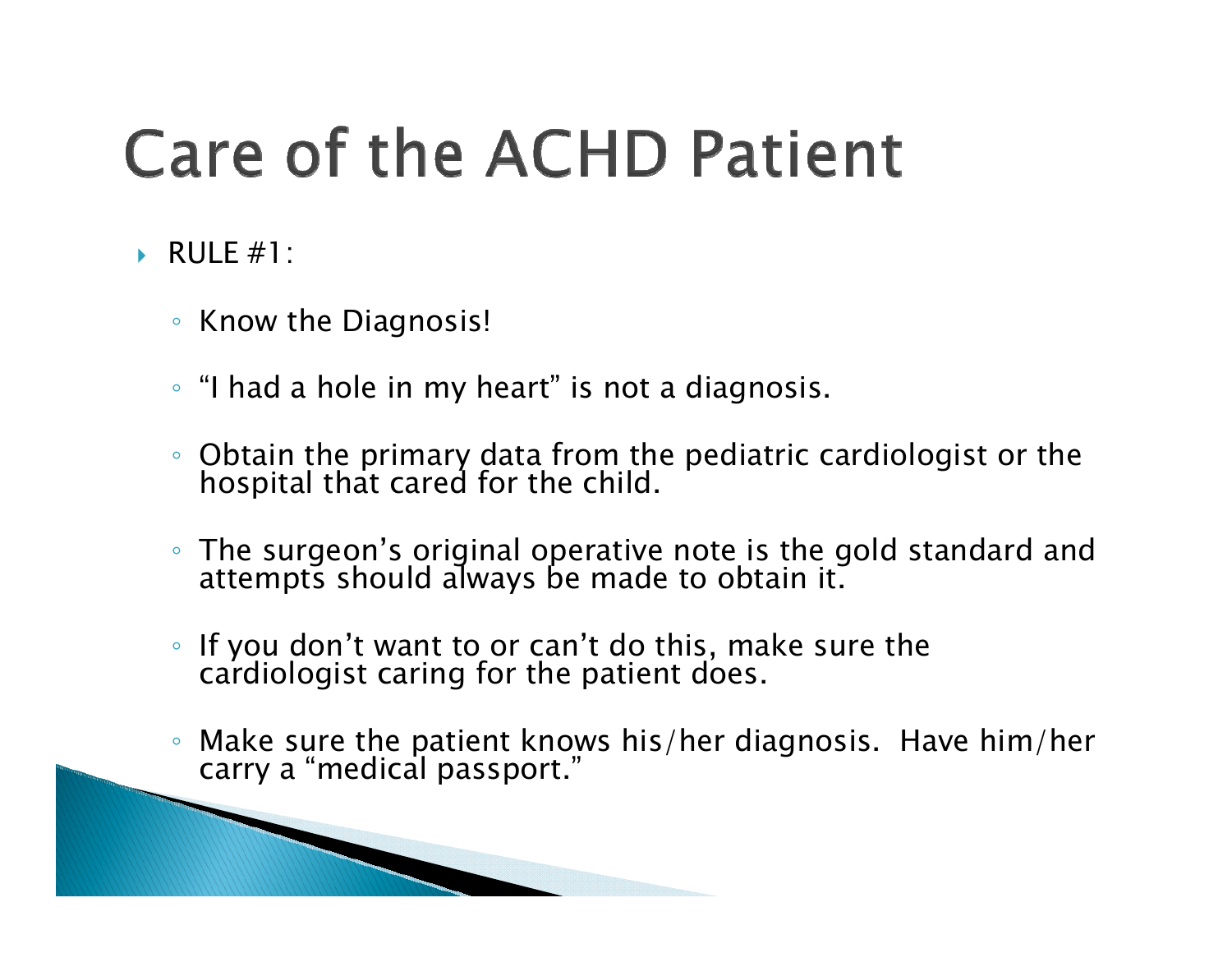# **Care of the ACHD Patient**

- RULE #1:
	- Know the Diagnosis!

and the contract of the contract of

- "I had a hole in my heart" is not a diagnosis.
- Obtain the primary data from the pediatric cardiologist or the<br>← hospital that cared for the child.
- The surgeon's original operative note is the gold standard and<br>attempts should always be made to obtain it.
- $\bullet$ If you don't want to or can't do this, make sure the cardiologist caring for the patient does.
- $\circ$ Make sure the patient knows his/her diagnosis. Have him/her carry a "medical passport."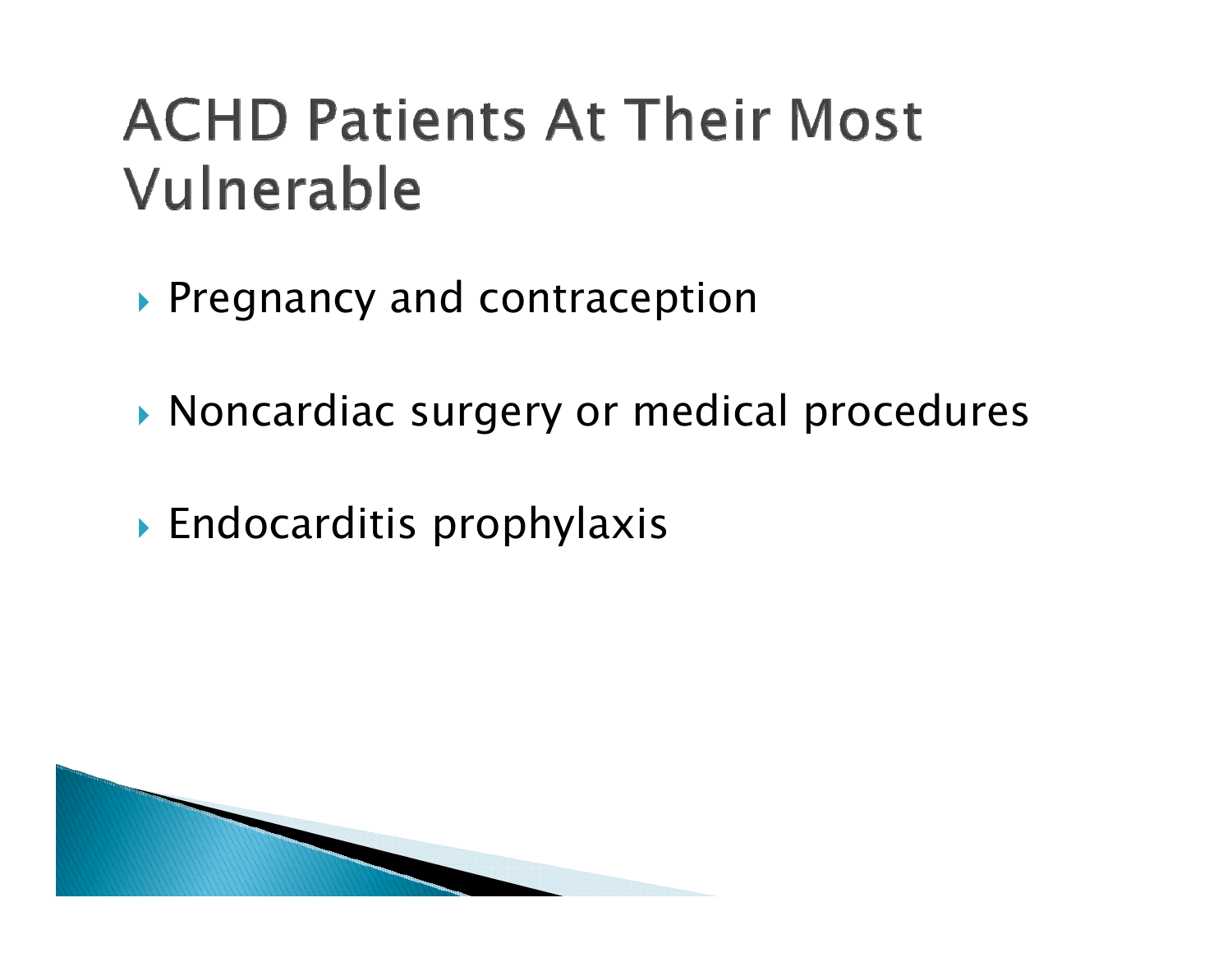# **ACHD Patients At Their Most** Vulnerable

- Pregnancy and contraception
- Noncardiac surgery or medical procedures
- Endocarditis prophylaxis

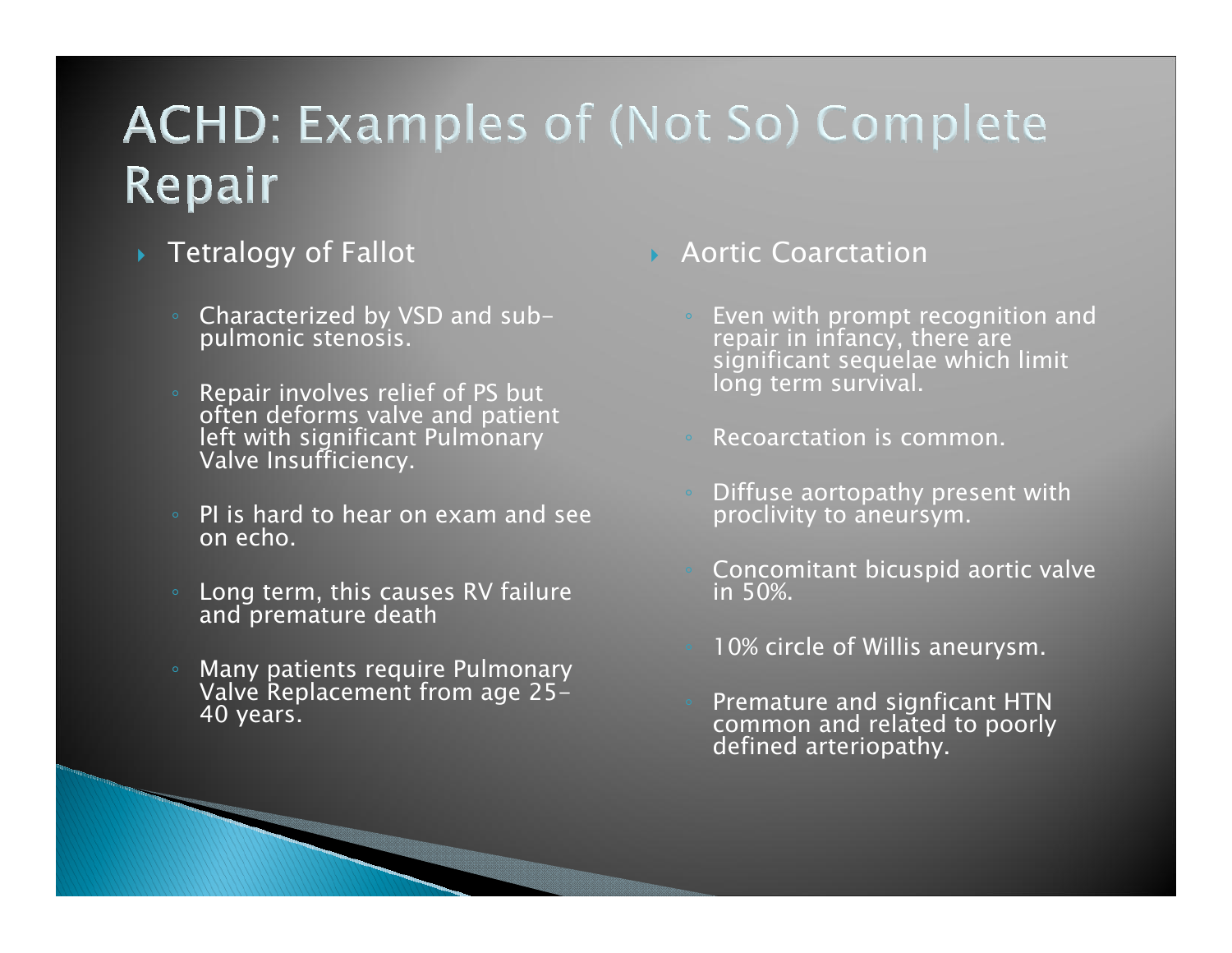# **ACHD: Examples of (Not So) Complete** Repair

- Tetralogy of Fallot
	- Characterized by VSD and sub- pulmonic stenosis.
	- Repair involves relief of PS but<br>often deforms valve and patient<br>left with significant Pulmonary<br>Valve Insufficiency.
	- PI is hard to hear on exam and see on echo.
	- Long term, this causes RV failure<br>and premature death
	- ◦ Many patients require Pulmonary Valve Replacement from age 25- 40 years.
- Aortic Coarctation
	- Even with prompt recognition and<br>repair in infancy, there are<br>significant sequelae which limit<br>long term survival.
	- Recoarctation is common.
	- Diffuse aortopathy present with proclivity to aneursym.
	- Concomitant bicuspid aortic valve in 50%.
	- 10% circle of Willis aneurysm.
	- Premature and signficant HTN common and related to poorly defined arteriopathy.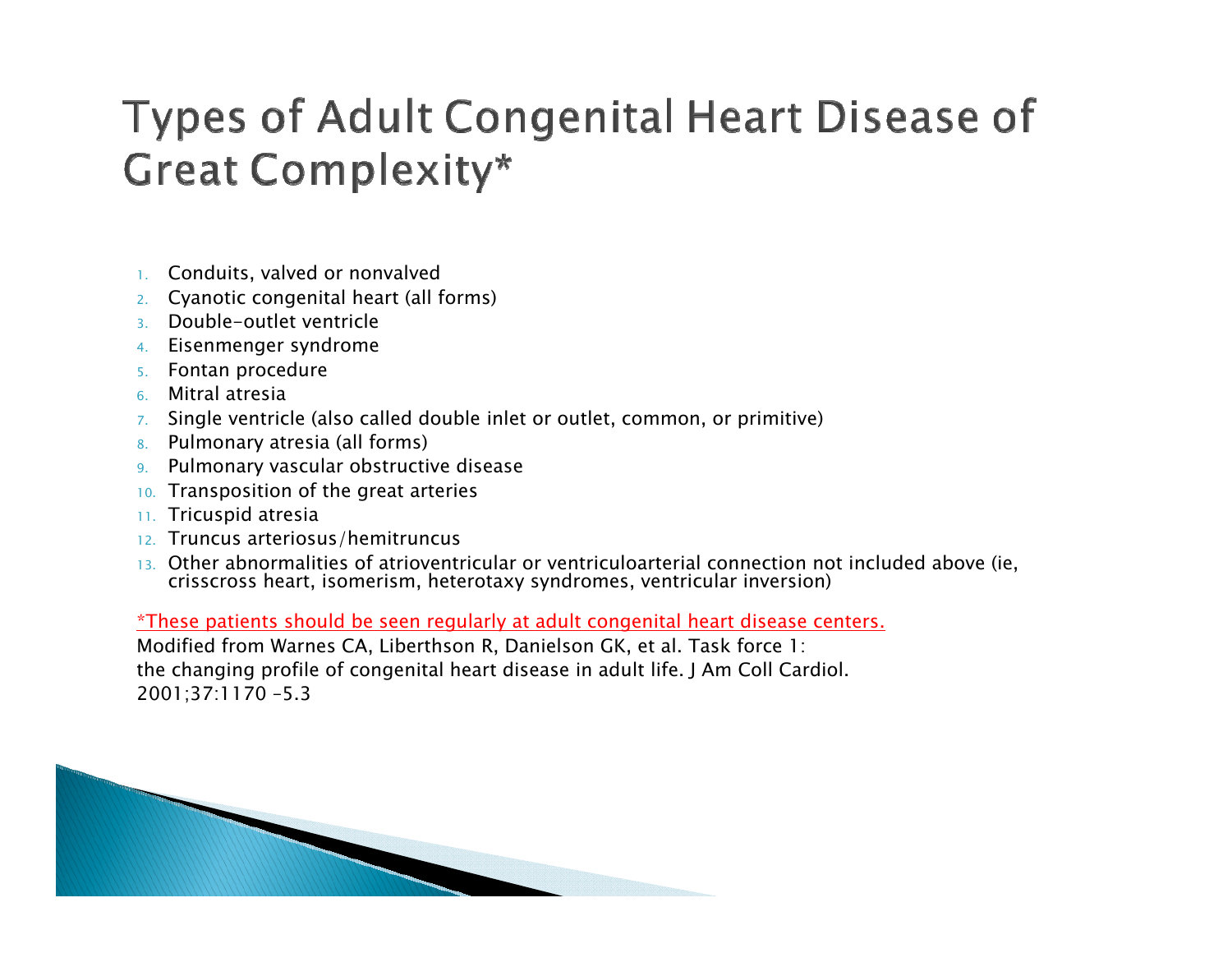## Types of Adult Congenital Heart Disease of **Great Complexity\***

- 1. Conduits, valved or nonvalved
- 2. Cyanotic congenital heart (all forms)
- 3.Double-outlet ventricle
- 4.Eisenmenger syndrome
- 5.Fontan procedure
- 6.Mitral atresia
- 7. Single ventricle (also called double inlet or outlet, common, or primitive)
- 8.Pulmonary atresia (all forms)
- 9.Pulmonary vascular obstructive disease
- 10. Transposition of the great arteries
- 11. Tricuspid atresia
- 12. Truncus arteriosus/hemitruncus
- 13. Other abnormalities of atrioventricular or ventriculoarterial connection not included above (ie, crisscross heart, isomerism, heterotaxy syndromes, ventricular inversion)

\*These patients should be seen regularly at adult congenital heart disease centers.

Modified from Warnes CA, Liberthson R, Danielson GK, et al. Task force 1: the changing profile of congenital heart disease in adult life. J Am Coll Cardiol. 2001;37:1170 –5.3

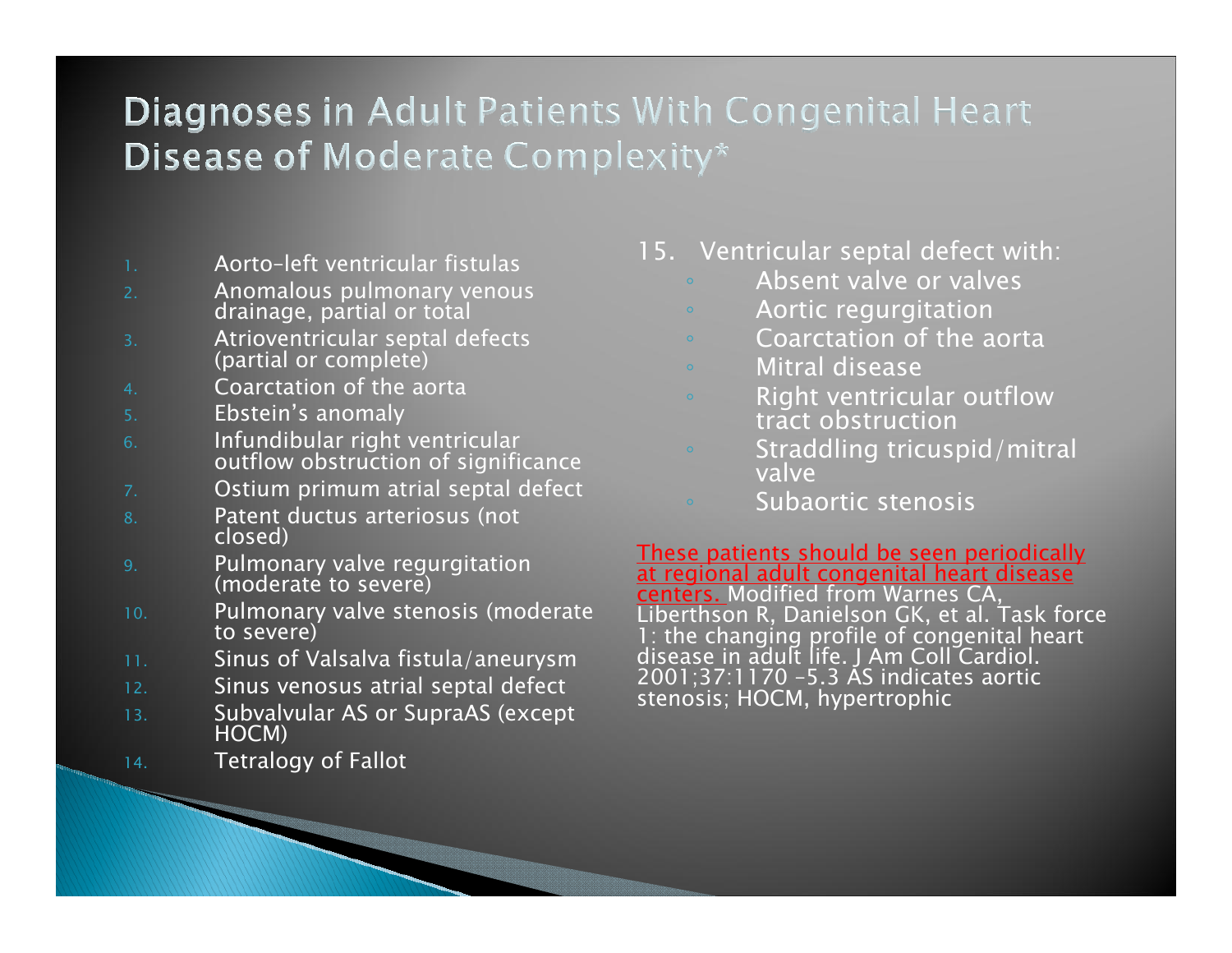#### **Diagnoses in Adult Patients With Congenital Heart Disease of Moderate Complexity\***

- Aorto–left ventricular fistulas
- Anomalous pulmonary venous drainage, partial or total
- Atrioventricular septal defects (partial or complete)
- Coarctation of the aorta
- Ebstein's anomaly
- Infundibular right ventricular outflow obstruction of significance
- Ostium primum atrial septal defect
- Patent ductus arteriosus (not closed)
- Pulmonary valve regurgitation<br>(moderate to severe)
- 10.Pulmonary valve stenosis (moderate<br>to severe)
- Sinus of Valsalva fistula/aneurysm
- 12.Sinus venosus atrial septal defect
- 13.Subvalvular AS or SupraAS (except HOCM)
- 14.Tetralogy of Fallot
- 15. Ventricular septal defect with:
	- Absent valve or valves
	- Aortic regurgitation
	- Coarctation of the aorta
	- Mitral disease
	- Right ventricular outflow tract obstruction
	- Straddling tricuspid/mitral valve
		- Subaortic stenosis

<u>These patients should be seen periodically</u><br>at regional adult congenital heart disease centers. Modified from Warnes CA, Liberthson R, Danielson GK, et al. Task force 1: the changing profile of congenital heart<br>disease in adult life. J Am Coll Cardiol. 2001;37:1170 –5.3 AS indicates aortic stenosis; HOCM, hypertrophic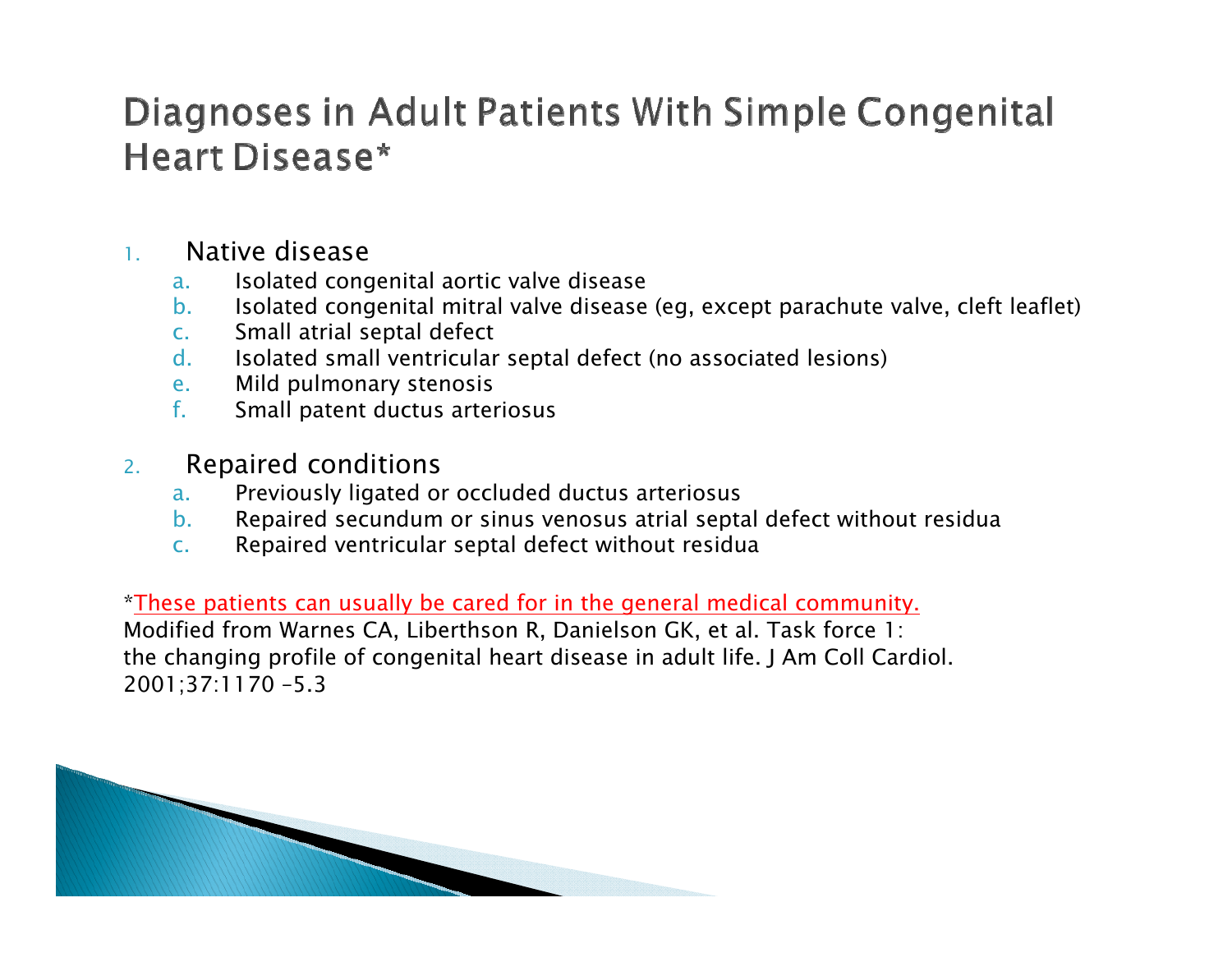### Diagnoses in Adult Patients With Simple Congenital Heart Disease\*

#### 1.Native disease

- a.Isolated congenital aortic valve disease
- b.Isolated congenital mitral valve disease (eg, except parachute valve, cleft leaflet)
- c.Small atrial septal defect
- d.Isolated small ventricular septal defect (no associated lesions)
- e.Mild pulmonary stenosis
- f.Small patent ductus arteriosus
- 2. Repaired conditions
	- a.Previously ligated or occluded ductus arteriosus
	- b.Repaired secundum or sinus venosus atrial septal defect without residua
	- c.Repaired ventricular septal defect without residua

\*These patients can usually be cared for in the general medical community.

Modified from Warnes CA, Liberthson R, Danielson GK, et al. Task force 1: the changing profile of congenital heart disease in adult life. J Am Coll Cardiol. 2001;37:1170 –5.3